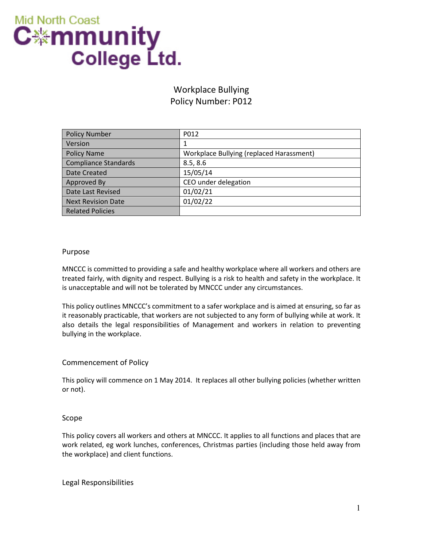

# Workplace Bullying Policy Number: P012

| <b>Policy Number</b>        | P012                                     |  |
|-----------------------------|------------------------------------------|--|
| Version                     | 1                                        |  |
| <b>Policy Name</b>          | Workplace Bullying (replaced Harassment) |  |
| <b>Compliance Standards</b> | 8.5, 8.6                                 |  |
| Date Created                | 15/05/14                                 |  |
| Approved By                 | CEO under delegation                     |  |
| Date Last Revised           | 01/02/21                                 |  |
| <b>Next Revision Date</b>   | 01/02/22                                 |  |
| <b>Related Policies</b>     |                                          |  |

#### Purpose

MNCCC is committed to providing a safe and healthy workplace where all workers and others are treated fairly, with dignity and respect. Bullying is a risk to health and safety in the workplace. It is unacceptable and will not be tolerated by MNCCC under any circumstances.

This policy outlines MNCCC's commitment to a safer workplace and is aimed at ensuring, so far as it reasonably practicable, that workers are not subjected to any form of bullying while at work. It also details the legal responsibilities of Management and workers in relation to preventing bullying in the workplace.

## Commencement of Policy

This policy will commence on 1 May 2014. It replaces all other bullying policies (whether written or not).

## Scope

This policy covers all workers and others at MNCCC. It applies to all functions and places that are work related, eg work lunches, conferences, Christmas parties (including those held away from the workplace) and client functions.

Legal Responsibilities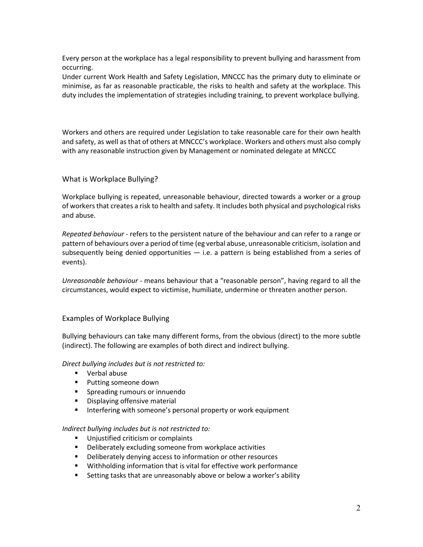Every person at the workplace has a legal responsibility to prevent bullying and harassment from occurring.

Under current Work Health and Safety Legislation, MNCCC has the primary duty to eliminate or minimise, as far as reasonable practicable, the risks to health and safety at the workplace. This duty includes the implementation of strategies including training, to prevent workplace bullying.

Workers and others are required under Legislation to take reasonable care for their own health and safety, as well as that of others at MNCCC's workplace. Workers and others must also comply with any reasonable instruction given by Management or nominated delegate at MNCCC

# What is Workplace Bullying?

Workplace bullying is repeated, unreasonable behaviour, directed towards a worker or a group of workers that creates a risk to health and safety. It includes both physical and psychological risks and abuse.

*Repeated behaviour* - refers to the persistent nature of the behaviour and can refer to a range or pattern of behaviours over a period of time (eg verbal abuse, unreasonable criticism, isolation and subsequently being denied opportunities  $-$  i.e. a pattern is being established from a series of events).

*Unreasonable behaviour -* means behaviour that a "reasonable person", having regard to all the circumstances, would expect to victimise, humiliate, undermine or threaten another person.

## Examples of Workplace Bullying

Bullying behaviours can take many different forms, from the obvious (direct) to the more subtle (indirect). The following are examples of both direct and indirect bullying.

*Direct bullying includes but is not restricted to:*

- Verbal abuse
- **Putting someone down**
- **Spreading rumours or innuendo**
- **•** Displaying offensive material
- **IF** Interfering with someone's personal property or work equipment

## *Indirect bullying includes but is not restricted to:*

- **Unjustified criticism or complaints**
- **•** Deliberately excluding someone from workplace activities
- **•** Deliberately denying access to information or other resources
- **Withholding information that is vital for effective work performance**
- **Setting tasks that are unreasonably above or below a worker's ability**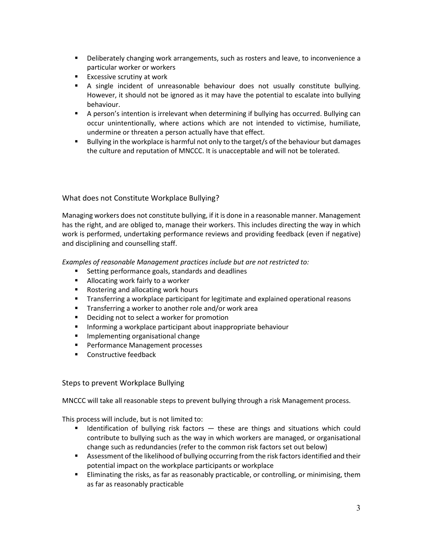- **•** Deliberately changing work arrangements, such as rosters and leave, to inconvenience a particular worker or workers
- **Excessive scrutiny at work**
- A single incident of unreasonable behaviour does not usually constitute bullying. However, it should not be ignored as it may have the potential to escalate into bullying behaviour.
- A person's intention is irrelevant when determining if bullying has occurred. Bullying can occur unintentionally, where actions which are not intended to victimise, humiliate, undermine or threaten a person actually have that effect.
- Bullying in the workplace is harmful not only to the target/s of the behaviour but damages the culture and reputation of MNCCC. It is unacceptable and will not be tolerated.

# What does not Constitute Workplace Bullying?

Managing workers does not constitute bullying, if it is done in a reasonable manner. Management has the right, and are obliged to, manage their workers. This includes directing the way in which work is performed, undertaking performance reviews and providing feedback (even if negative) and disciplining and counselling staff.

*Examples of reasonable Management practices include but are not restricted to:*

- **Setting performance goals, standards and deadlines**
- **Allocating work fairly to a worker**
- Rostering and allocating work hours
- Transferring a workplace participant for legitimate and explained operational reasons
- **Transferring a worker to another role and/or work area**
- **Deciding not to select a worker for promotion**
- **Informing a workplace participant about inappropriate behaviour**
- **Implementing organisational change**
- **Performance Management processes**
- Constructive feedback

#### Steps to prevent Workplace Bullying

MNCCC will take all reasonable steps to prevent bullying through a risk Management process.

This process will include, but is not limited to:

- **If Identification of bullying risk factors these are things and situations which could** contribute to bullying such as the way in which workers are managed, or organisational change such as redundancies (refer to the common risk factors set out below)
- **Assessment of the likelihood of bullying occurring from the risk factors identified and their** potential impact on the workplace participants or workplace
- Eliminating the risks, as far as reasonably practicable, or controlling, or minimising, them as far as reasonably practicable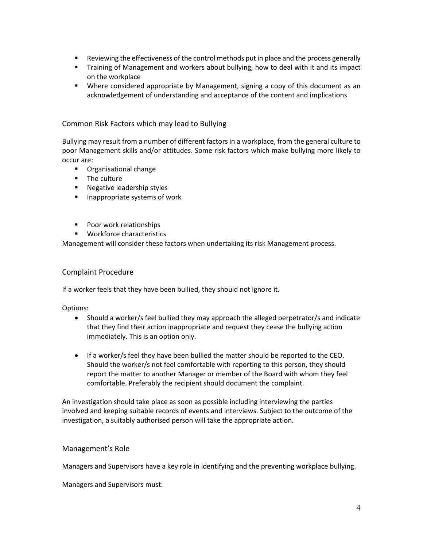- **EXECT** Reviewing the effectiveness of the control methods put in place and the process generally
- Training of Management and workers about bullying, how to deal with it and its impact on the workplace
- Where considered appropriate by Management, signing a copy of this document as an acknowledgement of understanding and acceptance of the content and implications

# Common Risk Factors which may lead to Bullying

Bullying may result from a number of different factors in a workplace, from the general culture to poor Management skills and/or attitudes. Some risk factors which make bullying more likely to occur are:

- Organisational change
- **The culture**
- **Negative leadership styles**
- **Inappropriate systems of work**
- **Poor work relationships**
- **Workforce characteristics**

Management will consider these factors when undertaking its risk Management process.

## Complaint Procedure

If a worker feels that they have been bullied, they should not ignore it.

Options:

- Should a worker/s feel bullied they may approach the alleged perpetrator/s and indicate that they find their action inappropriate and request they cease the bullying action immediately. This is an option only.
- If a worker/s feel they have been bullied the matter should be reported to the CEO. Should the worker/s not feel comfortable with reporting to this person, they should report the matter to another Manager or member of the Board with whom they feel comfortable. Preferably the recipient should document the complaint.

An investigation should take place as soon as possible including interviewing the parties involved and keeping suitable records of events and interviews. Subject to the outcome of the investigation, a suitably authorised person will take the appropriate action.

## Management's Role

Managers and Supervisors have a key role in identifying and the preventing workplace bullying.

Managers and Supervisors must: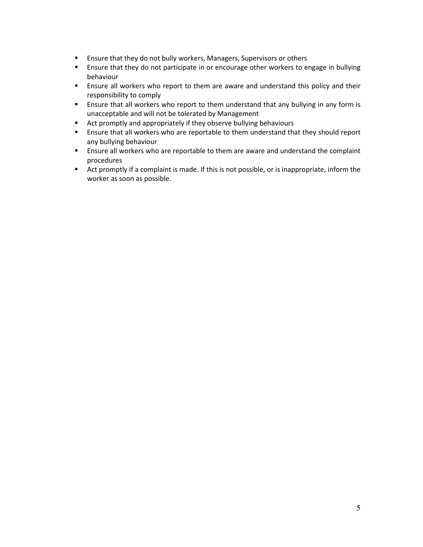- **Ensure that they do not bully workers, Managers, Supervisors or others**
- **E** Ensure that they do not participate in or encourage other workers to engage in bullying behaviour
- Ensure all workers who report to them are aware and understand this policy and their responsibility to comply
- **Ensure that all workers who report to them understand that any bullying in any form is** unacceptable and will not be tolerated by Management
- **Act promptly and appropriately if they observe bullying behaviours**
- **Ensure that all workers who are reportable to them understand that they should report** any bullying behaviour
- **Ensure all workers who are reportable to them are aware and understand the complaint** procedures
- Act promptly if a complaint is made. If this is not possible, or is inappropriate, inform the worker as soon as possible.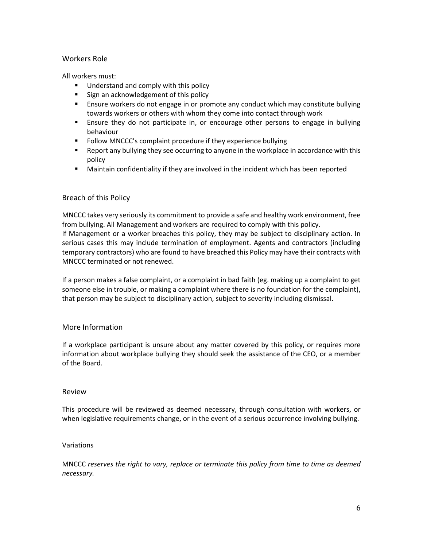# Workers Role

All workers must:

- Understand and comply with this policy
- Sign an acknowledgement of this policy
- **Ensure workers do not engage in or promote any conduct which may constitute bullying** towards workers or others with whom they come into contact through work
- Ensure they do not participate in, or encourage other persons to engage in bullying behaviour
- **Follow MNCCC's complaint procedure if they experience bullying**
- **EXECT** Report any bullying they see occurring to anyone in the workplace in accordance with this policy
- Maintain confidentiality if they are involved in the incident which has been reported

# Breach of this Policy

MNCCC takes very seriously its commitment to provide a safe and healthy work environment, free from bullying. All Management and workers are required to comply with this policy. If Management or a worker breaches this policy, they may be subject to disciplinary action. In serious cases this may include termination of employment. Agents and contractors (including temporary contractors) who are found to have breached this Policy may have their contracts with MNCCC terminated or not renewed.

If a person makes a false complaint, or a complaint in bad faith (eg. making up a complaint to get someone else in trouble, or making a complaint where there is no foundation for the complaint), that person may be subject to disciplinary action, subject to severity including dismissal.

# More Information

If a workplace participant is unsure about any matter covered by this policy, or requires more information about workplace bullying they should seek the assistance of the CEO, or a member of the Board.

## Review

This procedure will be reviewed as deemed necessary, through consultation with workers, or when legislative requirements change, or in the event of a serious occurrence involving bullying.

## Variations

MNCCC *reserves the right to vary, replace or terminate this policy from time to time as deemed necessary.*